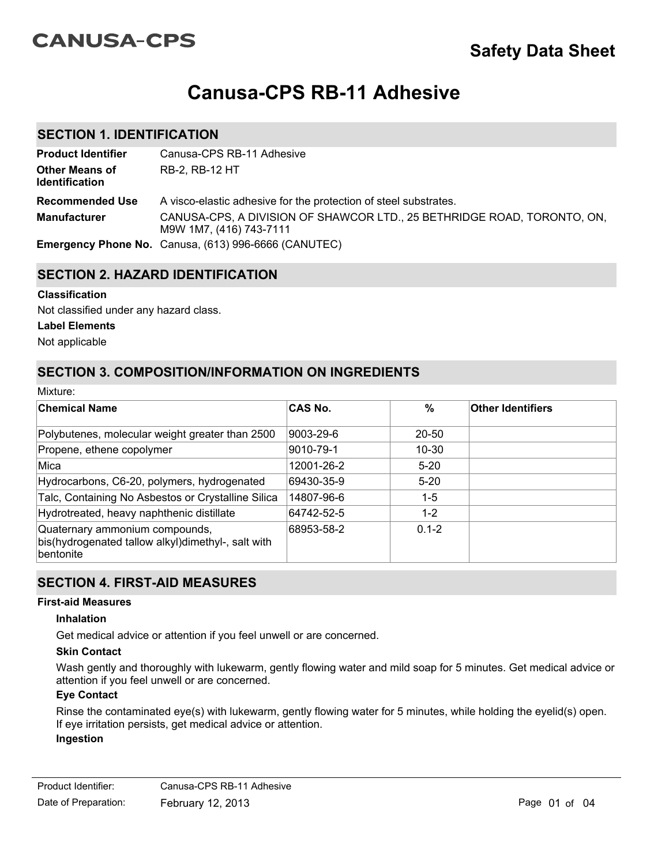# **CANUSA-CPS**

# **Canusa-CPS RB-11 Adhesive**

# **SECTION 1. IDENTIFICATION**

| <b>Product Identifier</b>                      | Canusa-CPS RB-11 Adhesive                                                                          |
|------------------------------------------------|----------------------------------------------------------------------------------------------------|
| <b>Other Means of</b><br><b>Identification</b> | RB-2, RB-12 HT                                                                                     |
| <b>Recommended Use</b>                         | A visco-elastic adhesive for the protection of steel substrates.                                   |
| <b>Manufacturer</b>                            | CANUSA-CPS, A DIVISION OF SHAWCOR LTD., 25 BETHRIDGE ROAD, TORONTO, ON,<br>M9W 1M7, (416) 743-7111 |
|                                                | Emergency Phone No. Canusa, (613) 996-6666 (CANUTEC)                                               |

# **SECTION 2. HAZARD IDENTIFICATION**

#### **Classification**

Not classified under any hazard class.

#### **Label Elements**

Not applicable

Mixture:

# **SECTION 3. COMPOSITION/INFORMATION ON INGREDIENTS**

| iviixture.                                                                                               |                |           |                          |  |
|----------------------------------------------------------------------------------------------------------|----------------|-----------|--------------------------|--|
| <b>Chemical Name</b>                                                                                     | <b>CAS No.</b> | %         | <b>Other Identifiers</b> |  |
| Polybutenes, molecular weight greater than 2500                                                          | 9003-29-6      | $20 - 50$ |                          |  |
| Propene, ethene copolymer                                                                                | 9010-79-1      | 10-30     |                          |  |
| Mica                                                                                                     | 12001-26-2     | $5 - 20$  |                          |  |
| Hydrocarbons, C6-20, polymers, hydrogenated                                                              | 69430-35-9     | $5 - 20$  |                          |  |
| Talc, Containing No Asbestos or Crystalline Silica                                                       | 14807-96-6     | $1 - 5$   |                          |  |
| Hydrotreated, heavy naphthenic distillate                                                                | 64742-52-5     | $1 - 2$   |                          |  |
| Quaternary ammonium compounds,<br>bis(hydrogenated tallow alkyl)dimethyl-, salt with<br><b>bentonite</b> | 68953-58-2     | $0.1 - 2$ |                          |  |

## **SECTION 4. FIRST-AID MEASURES**

#### **First-aid Measures**

#### **Inhalation**

Get medical advice or attention if you feel unwell or are concerned.

#### **Skin Contact**

Wash gently and thoroughly with lukewarm, gently flowing water and mild soap for 5 minutes. Get medical advice or attention if you feel unwell or are concerned.

#### **Eye Contact**

Rinse the contaminated eye(s) with lukewarm, gently flowing water for 5 minutes, while holding the eyelid(s) open. If eye irritation persists, get medical advice or attention. **Ingestion**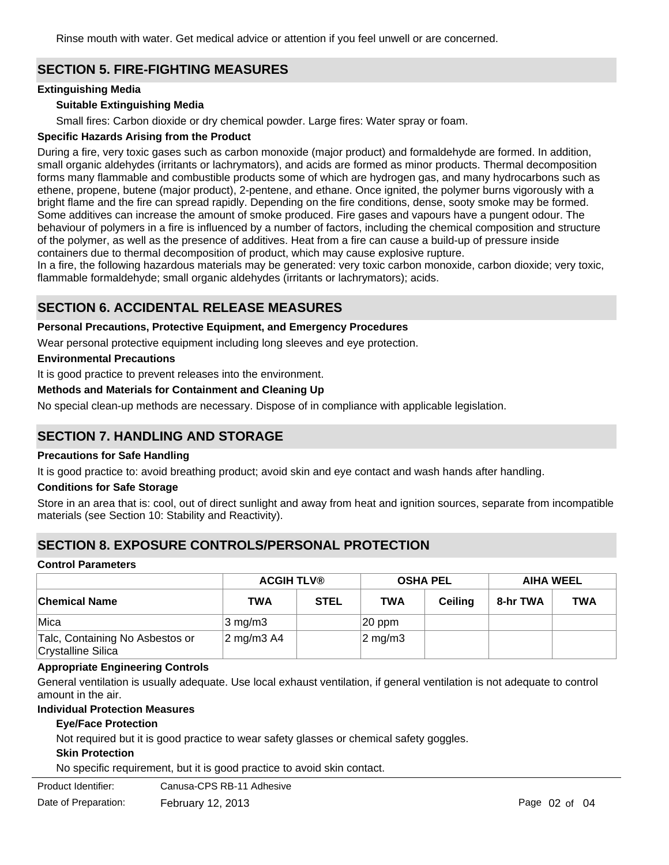Rinse mouth with water. Get medical advice or attention if you feel unwell or are concerned.

# **SECTION 5. FIRE-FIGHTING MEASURES**

#### **Extinguishing Media**

#### **Suitable Extinguishing Media**

Small fires: Carbon dioxide or dry chemical powder. Large fires: Water spray or foam.

#### **Specific Hazards Arising from the Product**

During a fire, very toxic gases such as carbon monoxide (major product) and formaldehyde are formed. In addition, small organic aldehydes (irritants or lachrymators), and acids are formed as minor products. Thermal decomposition forms many flammable and combustible products some of which are hydrogen gas, and many hydrocarbons such as ethene, propene, butene (major product), 2-pentene, and ethane. Once ignited, the polymer burns vigorously with a bright flame and the fire can spread rapidly. Depending on the fire conditions, dense, sooty smoke may be formed. Some additives can increase the amount of smoke produced. Fire gases and vapours have a pungent odour. The behaviour of polymers in a fire is influenced by a number of factors, including the chemical composition and structure of the polymer, as well as the presence of additives. Heat from a fire can cause a build-up of pressure inside containers due to thermal decomposition of product, which may cause explosive rupture.

In a fire, the following hazardous materials may be generated: very toxic carbon monoxide, carbon dioxide; very toxic, flammable formaldehyde; small organic aldehydes (irritants or lachrymators); acids.

# **SECTION 6. ACCIDENTAL RELEASE MEASURES**

#### **Personal Precautions, Protective Equipment, and Emergency Procedures**

Wear personal protective equipment including long sleeves and eye protection.

#### **Environmental Precautions**

It is good practice to prevent releases into the environment.

#### **Methods and Materials for Containment and Cleaning Up**

No special clean-up methods are necessary. Dispose of in compliance with applicable legislation.

## **SECTION 7. HANDLING AND STORAGE**

#### **Precautions for Safe Handling**

It is good practice to: avoid breathing product; avoid skin and eye contact and wash hands after handling.

#### **Conditions for Safe Storage**

Store in an area that is: cool, out of direct sunlight and away from heat and ignition sources, separate from incompatible materials (see Section 10: Stability and Reactivity).

## **SECTION 8. EXPOSURE CONTROLS/PERSONAL PROTECTION**

#### **Control Parameters**

|                                                       | <b>ACGIH TLV®</b>   |             |                  | <b>OSHA PEL</b> | <b>AIHA WEEL</b> |            |
|-------------------------------------------------------|---------------------|-------------|------------------|-----------------|------------------|------------|
| <b>Chemical Name</b>                                  | TWA                 | <b>STEL</b> | <b>TWA</b>       | Ceilina         | 8-hr TWA         | <b>TWA</b> |
| Mica                                                  | $ 3 \text{ mg/m}$ 3 |             | $ 20$ ppm        |                 |                  |            |
| Talc, Containing No Asbestos or<br>Crystalline Silica | $\sqrt{2}$ mg/m3 A4 |             | $\sqrt{2}$ mg/m3 |                 |                  |            |

#### **Appropriate Engineering Controls**

General ventilation is usually adequate. Use local exhaust ventilation, if general ventilation is not adequate to control amount in the air.

#### **Individual Protection Measures**

#### **Eye/Face Protection**

Not required but it is good practice to wear safety glasses or chemical safety goggles.

#### **Skin Protection**

No specific requirement, but it is good practice to avoid skin contact.

Product Identifier: Canusa-CPS RB-11 Adhesive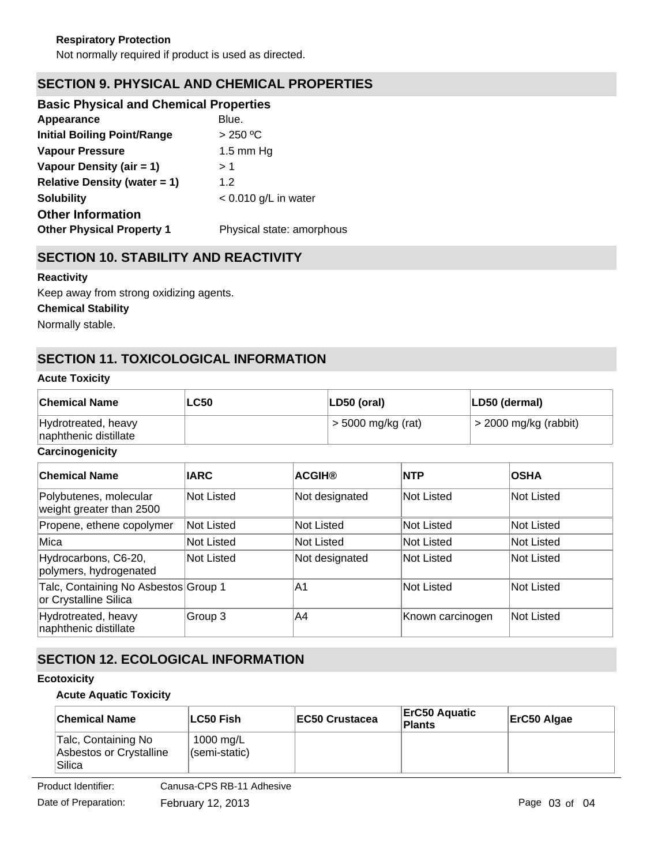# **SECTION 9. PHYSICAL AND CHEMICAL PROPERTIES**

| <b>Basic Physical and Chemical Properties</b> |                           |
|-----------------------------------------------|---------------------------|
| Appearance                                    | Blue.                     |
| <b>Initial Boiling Point/Range</b>            | > 250 °C                  |
| <b>Vapour Pressure</b>                        | $1.5 \text{ mm}$ Hq       |
| Vapour Density (air = 1)                      | > 1                       |
| <b>Relative Density (water = 1)</b>           | 1.2                       |
| <b>Solubility</b>                             | $< 0.010$ g/L in water    |
| <b>Other Information</b>                      |                           |
| <b>Other Physical Property 1</b>              | Physical state: amorphous |
|                                               |                           |

# **SECTION 10. STABILITY AND REACTIVITY**

#### **Reactivity**

Keep away from strong oxidizing agents.

**Chemical Stability**

Normally stable.

# **SECTION 11. TOXICOLOGICAL INFORMATION**

#### **Acute Toxicity**

| <b>Chemical Name</b>                         | <b>LC50</b> | $ LD50$ (oral)       | LD50 (dermal)           |
|----------------------------------------------|-------------|----------------------|-------------------------|
| Hydrotreated, heavy<br>naphthenic distillate |             | $>$ 5000 mg/kg (rat) | $>$ 2000 mg/kg (rabbit) |

#### **Carcinogenicity**

| <b>Chemical Name</b>                                          | <b>IARC</b>       | <b>ACGIH®</b>  | <b>NTP</b>        | <b>OSHA</b>       |
|---------------------------------------------------------------|-------------------|----------------|-------------------|-------------------|
| Polybutenes, molecular<br>weight greater than 2500            | <b>Not Listed</b> | Not designated | <b>Not Listed</b> | <b>Not Listed</b> |
| Propene, ethene copolymer                                     | <b>Not Listed</b> | Not Listed     | <b>Not Listed</b> | <b>Not Listed</b> |
| Mica                                                          | <b>Not Listed</b> | Not Listed     | <b>Not Listed</b> | Not Listed        |
| Hydrocarbons, C6-20,<br>polymers, hydrogenated                | <b>Not Listed</b> | Not designated | <b>Not Listed</b> | Not Listed        |
| Talc, Containing No Asbestos Group 1<br>or Crystalline Silica |                   | A1             | <b>Not Listed</b> | Not Listed        |
| Hydrotreated, heavy<br>naphthenic distillate                  | Group 3           | A4             | Known carcinogen  | Not Listed        |

# **SECTION 12. ECOLOGICAL INFORMATION**

#### **Ecotoxicity**

#### **Acute Aquatic Toxicity**

| <b>Chemical Name</b>                                     | ∣LC50 Fish                 | EC50 Crustacea | ∣ErC50 Aquatic<br>Plants | ErC50 Algae |
|----------------------------------------------------------|----------------------------|----------------|--------------------------|-------------|
| Talc, Containing No<br>Asbestos or Crystalline<br>Silica | 1000 mg/L<br>(semi-static) |                |                          |             |

Product Identifier: Canusa-CPS RB-11 Adhesive